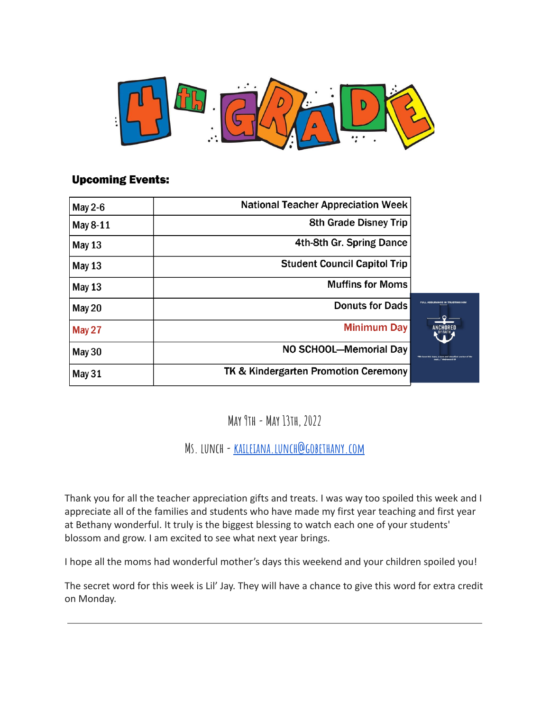

#### **Upcoming Events:**

| May 2-6       | <b>National Teacher Appreciation Week</b>       |  |
|---------------|-------------------------------------------------|--|
| May 8-11      | <b>8th Grade Disney Trip</b>                    |  |
| <b>May 13</b> | 4th-8th Gr. Spring Dance                        |  |
| <b>May 13</b> | <b>Student Council Capitol Trip</b>             |  |
| <b>May 13</b> | <b>Muffins for Moms</b>                         |  |
| May 20        | <b>Donuts for Dads</b>                          |  |
| <b>May 27</b> | <b>Minimum Day</b>                              |  |
| <b>May 30</b> | NO SCHOOL-Memorial Day                          |  |
| May 31        | <b>TK &amp; Kindergarten Promotion Ceremony</b> |  |

### **May 9th- May 13th, 2022**

**Ms. lunch-[kaileiana.lunch@gobethany.com](mailto:kaileiana.lunch@gobethany.com)**

Thank you for all the teacher appreciation gifts and treats. I was way too spoiled this week and I appreciate all of the families and students who have made my first year teaching and first year at Bethany wonderful. It truly is the biggest blessing to watch each one of your students' blossom and grow. I am excited to see what next year brings.

I hope all the moms had wonderful mother's days this weekend and your children spoiled you!

The secret word for this week is Lil' Jay. They will have a chance to give this word for extra credit on Monday.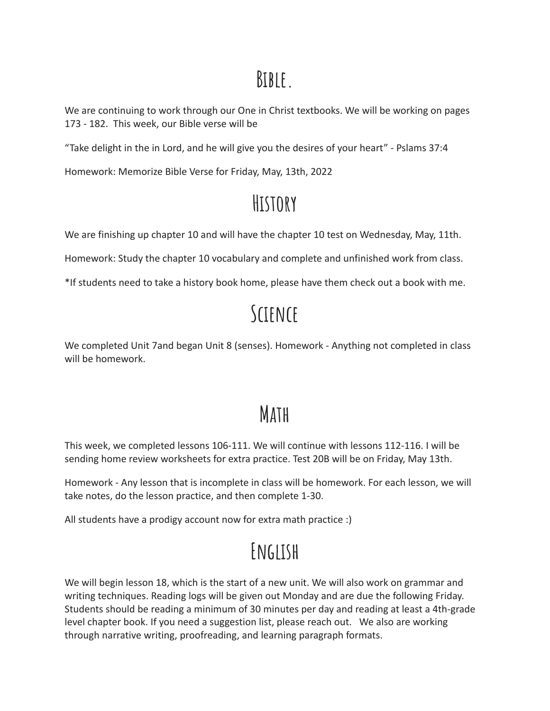### **Bible.**

We are continuing to work through our One in Christ textbooks. We will be working on pages 173 - 182. This week, our Bible verse will be

"Take delight in the in Lord, and he will give you the desires of your heart" - Pslams 37:4

Homework: Memorize Bible Verse for Friday, May, 13th, 2022

## **History**

We are finishing up chapter 10 and will have the chapter 10 test on Wednesday, May, 11th.

Homework: Study the chapter 10 vocabulary and complete and unfinished work from class.

\*If students need to take a history book home, please have them check out a book with me.

# **Science**

We completed Unit 7and began Unit 8 (senses). Homework - Anything not completed in class will be homework.

## **Math**

This week, we completed lessons 106-111. We will continue with lessons 112-116. I will be sending home review worksheets for extra practice. Test 20B will be on Friday, May 13th.

Homework - Any lesson that is incomplete in class will be homework. For each lesson, we will take notes, do the lesson practice, and then complete 1-30.

All students have a prodigy account now for extra math practice :)

# **English**

We will begin lesson 18, which is the start of a new unit. We will also work on grammar and writing techniques. Reading logs will be given out Monday and are due the following Friday. Students should be reading a minimum of 30 minutes per day and reading at least a 4th-grade level chapter book. If you need a suggestion list, please reach out. We also are working through narrative writing, proofreading, and learning paragraph formats.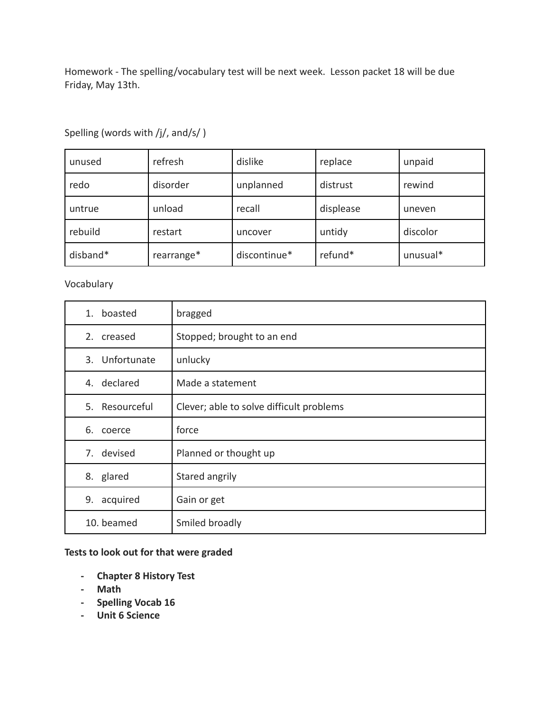Homework - The spelling/vocabulary test will be next week. Lesson packet 18 will be due Friday, May 13th.

| unused   | refresh    | dislike      | replace   | unpaid   |
|----------|------------|--------------|-----------|----------|
| redo     | disorder   | unplanned    | distrust  | rewind   |
| untrue   | unload     | recall       | displease | uneven   |
| rebuild  | restart    | uncover      | untidy    | discolor |
| disband* | rearrange* | discontinue* | refund*   | unusual* |

Spelling (words with /j/, and/s/ )

#### Vocabulary

| 1. boasted     | bragged                                  |
|----------------|------------------------------------------|
| 2. creased     | Stopped; brought to an end               |
| 3. Unfortunate | unlucky                                  |
| 4. declared    | Made a statement                         |
| 5. Resourceful | Clever; able to solve difficult problems |
| 6. coerce      | force                                    |
| 7. devised     | Planned or thought up                    |
| 8. glared      | Stared angrily                           |
| 9.<br>acquired | Gain or get                              |
| 10. beamed     | Smiled broadly                           |

#### **Tests to look out for that were graded**

- **- Chapter 8 History Test**
- **- Math**
- **- Spelling Vocab 16**
- **- Unit 6 Science**